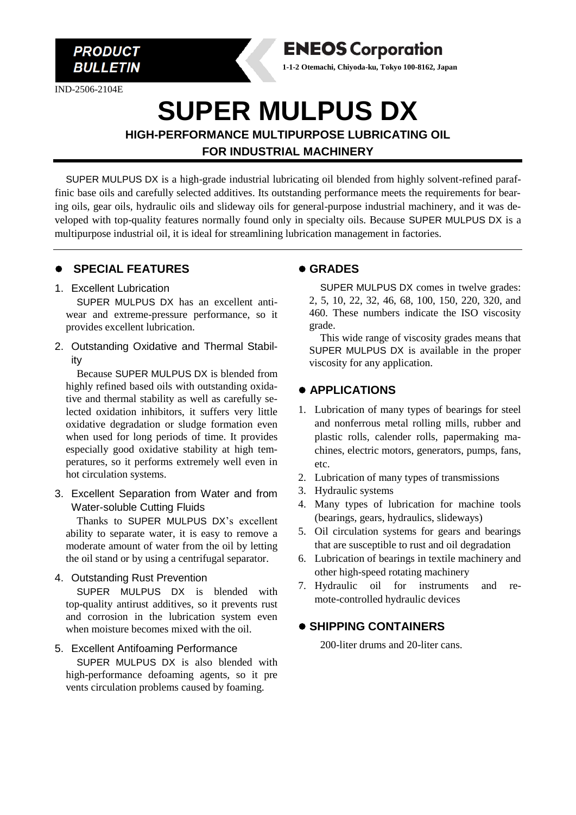

IND-2506-2104E



**1-1-2 Otemachi, Chiyoda-ku, Tokyo 100-8162, Japan**

# **SUPER MULPUS DX**

**HIGH-PERFORMANCE MULTIPURPOSE LUBRICATING OIL FOR INDUSTRIAL MACHINERY**

SUPER MULPUS DX is a high-grade industrial lubricating oil blended from highly solvent-refined paraffinic base oils and carefully selected additives. Its outstanding performance meets the requirements for bearing oils, gear oils, hydraulic oils and slideway oils for general-purpose industrial machinery, and it was developed with top-quality features normally found only in specialty oils. Because SUPER MULPUS DX is a multipurpose industrial oil, it is ideal for streamlining lubrication management in factories.

#### ⚫ **SPECIAL FEATURES**

#### 1. Excellent Lubrication

SUPER MULPUS DX has an excellent antiwear and extreme-pressure performance, so it provides excellent lubrication.

2. Outstanding Oxidative and Thermal Stability

Because SUPER MULPUS DX is blended from highly refined based oils with outstanding oxidative and thermal stability as well as carefully selected oxidation inhibitors, it suffers very little oxidative degradation or sludge formation even when used for long periods of time. It provides especially good oxidative stability at high temperatures, so it performs extremely well even in hot circulation systems.

3. Excellent Separation from Water and from Water-soluble Cutting Fluids

Thanks to SUPER MULPUS DX's excellent ability to separate water, it is easy to remove a moderate amount of water from the oil by letting the oil stand or by using a centrifugal separator.

4. Outstanding Rust Prevention

SUPER MULPUS DX is blended with top-quality antirust additives, so it prevents rust and corrosion in the lubrication system even when moisture becomes mixed with the oil.

#### 5. Excellent Antifoaming Performance

SUPER MULPUS DX is also blended with high-performance defoaming agents, so it pre vents circulation problems caused by foaming.

#### ⚫ **GRADES**

SUPER MULPUS DX comes in twelve grades: 2, 5, 10, 22, 32, 46, 68, 100, 150, 220, 320, and 460. These numbers indicate the ISO viscosity grade.

This wide range of viscosity grades means that SUPER MULPUS DX is available in the proper viscosity for any application.

#### ⚫ **APPLICATIONS**

- 1. Lubrication of many types of bearings for steel and nonferrous metal rolling mills, rubber and plastic rolls, calender rolls, papermaking machines, electric motors, generators, pumps, fans, etc.
- 2. Lubrication of many types of transmissions
- 3. Hydraulic systems
- 4. Many types of lubrication for machine tools (bearings, gears, hydraulics, slideways)
- 5. Oil circulation systems for gears and bearings that are susceptible to rust and oil degradation
- 6. Lubrication of bearings in textile machinery and other high-speed rotating machinery
- 7. Hydraulic oil for instruments and remote-controlled hydraulic devices

### ⚫ **SHIPPING CONTAINERS**

200-liter drums and 20-liter cans.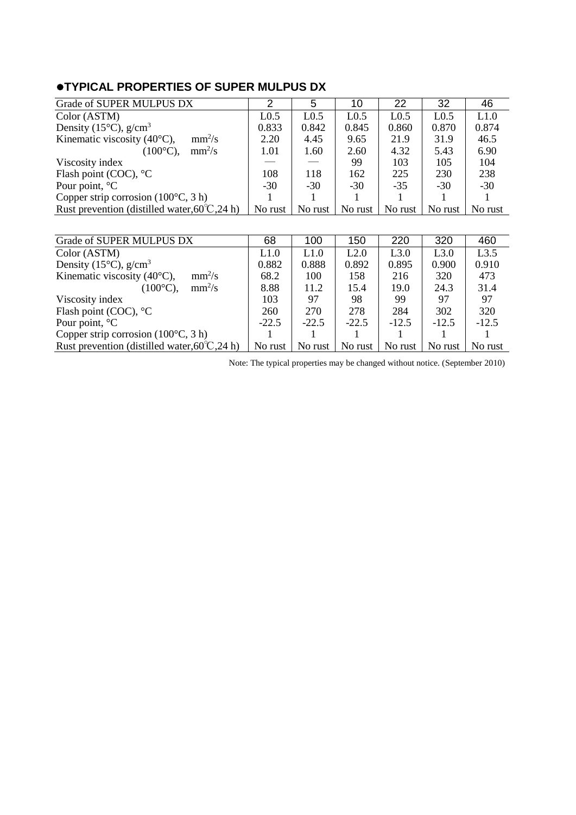## ⚫**TYPICAL PROPERTIES OF SUPER MULPUS DX**

| Grade of SUPER MULPUS DX                                | 2                | 5                | 10               | 22               | 32               | 46      |
|---------------------------------------------------------|------------------|------------------|------------------|------------------|------------------|---------|
| Color (ASTM)                                            | L <sub>0.5</sub> | L <sub>0.5</sub> | L <sub>0.5</sub> | L <sub>0.5</sub> | L <sub>0.5</sub> | L1.0    |
| Density (15 $\degree$ C), g/cm <sup>3</sup>             | 0.833            | 0.842            | 0.845            | 0.860            | 0.870            | 0.874   |
| Kinematic viscosity $(40^{\circ}C)$ ,<br>$mm^2/s$       | 2.20             | 4.45             | 9.65             | 21.9             | 31.9             | 46.5    |
| $mm^2/s$<br>$(100^{\circ}C)$ ,                          | 1.01             | 1.60             | 2.60             | 4.32             | 5.43             | 6.90    |
| Viscosity index                                         |                  |                  | 99               | 103              | 105              | 104     |
| Flash point (COC), $^{\circ}$ C                         | 108              | 118              | 162              | 225              | 230              | 238     |
| Pour point, $^{\circ}C$                                 | $-30$            | $-30$            | $-30$            | $-35$            | $-30$            | $-30$   |
| Copper strip corrosion $(100^{\circ}C, 3 h)$            |                  |                  |                  |                  |                  |         |
| Rust prevention (distilled water, $60^{\circ}$ C, 24 h) | No rust          | No rust          | No rust          | No rust          | No rust          | No rust |
|                                                         |                  |                  |                  |                  |                  |         |
| Grade of SUPER MULPUS DX                                | 68               | 100              | 150              | 220              | 320              | 460     |
| Color (ASTM)                                            | L1.0             | L1.0             | L2.0             | L3.0             | L3.0             | L3.5    |
| Density (15 $^{\circ}$ C), g/cm <sup>3</sup>            | 0.882            | 0.888            | 0.892            | 0.895            | 0.900            | 0.910   |
| $mm^2/s$<br>Kinematic viscosity $(40^{\circ}C)$ ,       | 68.2             | 100              | 158              | 216              | 320              | 473     |
| $mm^2/s$<br>$(100^{\circ}C)$ ,                          | 8.88             | 11.2             | 15.4             | 19.0             | 24.3             | 31.4    |
| Viscosity index                                         | 103              | 97               | 98               | 99               | 97               | 97      |
| Flash point (COC), $^{\circ}$ C                         | 260              | 270              | 278              | 284              | 302              | 320     |
| Pour point, $^{\circ}C$                                 | $-22.5$          | $-22.5$          | $-22.5$          | $-12.5$          | $-12.5$          | $-12.5$ |
| Copper strip corrosion $(100^{\circ}C, 3 h)$            |                  |                  |                  |                  |                  |         |
| Rust prevention (distilled water, $60^{\circ}$ C, 24 h) | No rust          | No rust          | No rust          | No rust          | No rust          | No rust |

Note: The typical properties may be changed without notice. (September 2010)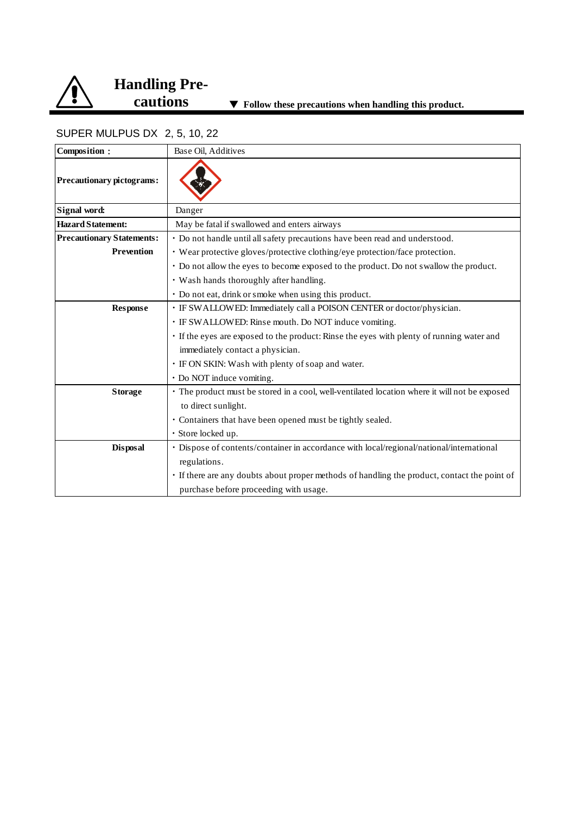

# **Handling Pre-**

### SUPER MULPUS DX 2, 5, 10, 22

| Composition:                     | Base Oil, Additives                                                                           |
|----------------------------------|-----------------------------------------------------------------------------------------------|
| <b>Precautionary pictograms:</b> |                                                                                               |
| Signal word:                     | Danger                                                                                        |
| <b>Hazard Statement:</b>         | May be fatal if swallowed and enters airways                                                  |
| <b>Precautionary Statements:</b> | • Do not handle until all safety precautions have been read and understood.                   |
| <b>Prevention</b>                | • Wear protective gloves/protective clothing/eye protection/face protection.                  |
|                                  | • Do not allow the eyes to become exposed to the product. Do not swallow the product.         |
|                                  | • Wash hands thoroughly after handling.                                                       |
|                                  | · Do not eat, drink or smoke when using this product.                                         |
| <b>Response</b>                  | · IF SWALLOWED: Immediately call a POISON CENTER or doctor/physician.                         |
|                                  | · IF SWALLOWED: Rinse mouth. Do NOT induce vomiting.                                          |
|                                  | • If the eyes are exposed to the product: Rinse the eyes with plenty of running water and     |
|                                  | immediately contact a physician.                                                              |
|                                  | · IF ON SKIN: Wash with plenty of soap and water.                                             |
|                                  | • Do NOT induce vomiting.                                                                     |
| <b>Storage</b>                   | • The product must be stored in a cool, well-ventilated location where it will not be exposed |
|                                  | to direct sunlight.                                                                           |
|                                  | • Containers that have been opened must be tightly sealed.                                    |
|                                  | · Store locked up.                                                                            |
| <b>Disposal</b>                  | · Dispose of contents/container in accordance with local/regional/national/international      |
|                                  | regulations.                                                                                  |
|                                  | · If there are any doubts about proper methods of handling the product, contact the point of  |
|                                  | purchase before proceeding with usage.                                                        |